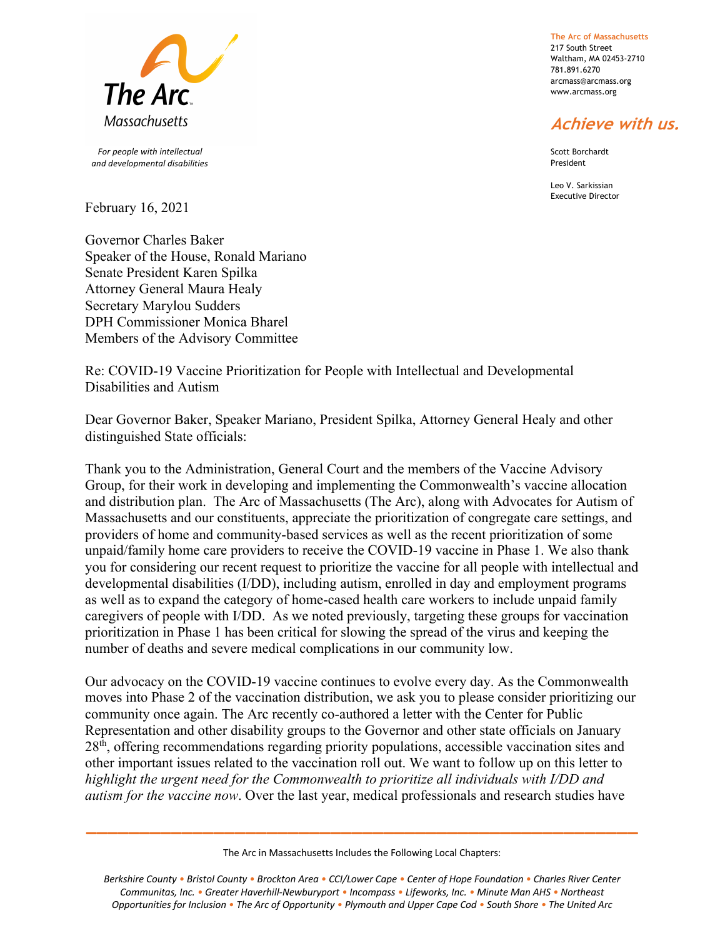

 *For people with intellectual and developmental disabilities*

February 16, 2021

Governor Charles Baker Speaker of the House, Ronald Mariano Senate President Karen Spilka Attorney General Maura Healy Secretary Marylou Sudders DPH Commissioner Monica Bharel Members of the Advisory Committee

**The Arc of Massachusetts** 217 South Street Waltham, MA 02453-2710 781.891.6270 arcmass@arcmass.org www.arcmass.org

## **Achieve with us.**

Scott Borchardt President

Leo V. Sarkissian Executive Director

Re: COVID-19 Vaccine Prioritization for People with Intellectual and Developmental Disabilities and Autism

Dear Governor Baker, Speaker Mariano, President Spilka, Attorney General Healy and other distinguished State officials:

Thank you to the Administration, General Court and the members of the Vaccine Advisory Group, for their work in developing and implementing the Commonwealth's vaccine allocation and distribution plan. The Arc of Massachusetts (The Arc), along with Advocates for Autism of Massachusetts and our constituents, appreciate the prioritization of congregate care settings, and providers of home and community-based services as well as the recent prioritization of some unpaid/family home care providers to receive the COVID-19 vaccine in Phase 1. We also thank you for considering our recent request to prioritize the vaccine for all people with intellectual and developmental disabilities (I/DD), including autism, enrolled in day and employment programs as well as to expand the category of home-cased health care workers to include unpaid family caregivers of people with I/DD. As we noted previously, targeting these groups for vaccination prioritization in Phase 1 has been critical for slowing the spread of the virus and keeping the number of deaths and severe medical complications in our community low.

Our advocacy on the COVID-19 vaccine continues to evolve every day. As the Commonwealth moves into Phase 2 of the vaccination distribution, we ask you to please consider prioritizing our community once again. The Arc recently co-authored a letter with the Center for Public Representation and other disability groups to the Governor and other state officials on January 28<sup>th</sup>, offering recommendations regarding priority populations, accessible vaccination sites and other important issues related to the vaccination roll out. We want to follow up on this letter to *highlight the urgent need for the Commonwealth to prioritize all individuals with I/DD and autism for the vaccine now*. Over the last year, medical professionals and research studies have

The Arc in Massachusetts Includes the Following Local Chapters:

**\_\_\_\_\_\_\_\_\_\_\_\_\_\_\_\_\_\_\_\_\_\_\_\_\_\_\_\_\_\_\_\_\_\_\_\_\_\_\_\_\_\_\_\_\_\_\_\_\_\_\_\_**

*Berkshire County • Bristol County • Brockton Area • CCI/Lower Cape • Center of Hope Foundation • Charles River Center Communitas, Inc. • Greater Haverhill-Newburyport • Incompass • Lifeworks, Inc. • Minute Man AHS • Northeast Opportunities for Inclusion • The Arc of Opportunity • Plymouth and Upper Cape Cod • South Shore • The United Arc*